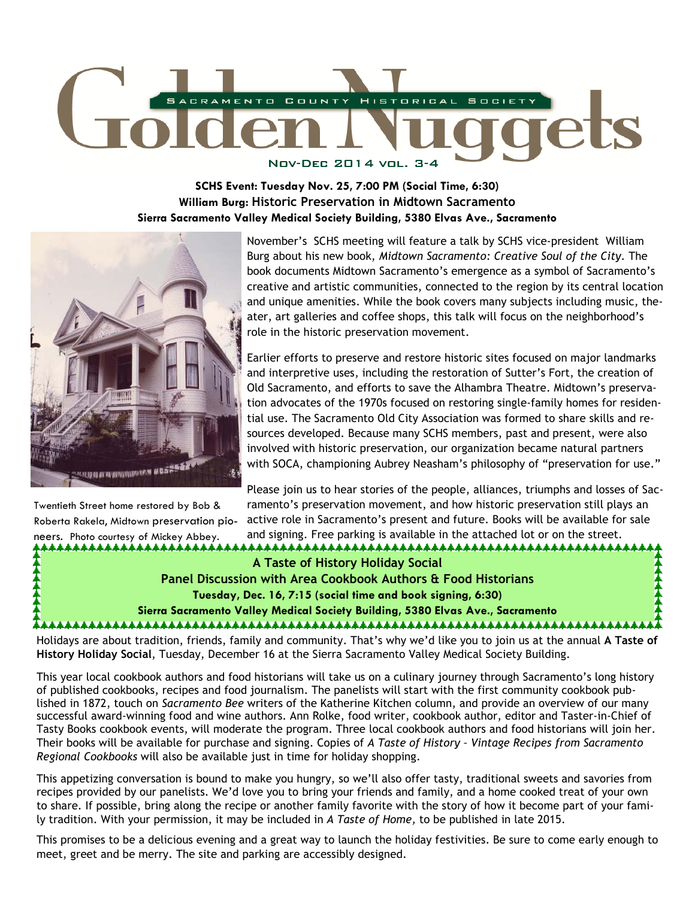

**SCHS Event: Tuesday Nov. 25, 7:00 PM (Social Time, 6:30) William Burg: Historic Preservation in Midtown Sacramento Sierra Sacramento Valley Medical Society Building, 5380 Elvas Ave., Sacramento** 



Twentieth Street home restored by Bob & Roberta Rakela, Midtown preservation pioneers. Photo courtesy of Mickey Abbey.

November's SCHS meeting will feature a talk by SCHS vice-president William Burg about his new book, *Midtown Sacramento: Creative Soul of the City.* The book documents Midtown Sacramento's emergence as a symbol of Sacramento's creative and artistic communities, connected to the region by its central location and unique amenities. While the book covers many subjects including music, theater, art galleries and coffee shops, this talk will focus on the neighborhood's role in the historic preservation movement.

Earlier efforts to preserve and restore historic sites focused on major landmarks and interpretive uses, including the restoration of Sutter's Fort, the creation of Old Sacramento, and efforts to save the Alhambra Theatre. Midtown's preservation advocates of the 1970s focused on restoring single-family homes for residential use. The Sacramento Old City Association was formed to share skills and resources developed. Because many SCHS members, past and present, were also involved with historic preservation, our organization became natural partners with SOCA, championing Aubrey Neasham's philosophy of "preservation for use."

Please join us to hear stories of the people, alliances, triumphs and losses of Sacramento's preservation movement, and how historic preservation still plays an active role in Sacramento's present and future. Books will be available for sale and signing. Free parking is available in the attached lot or on the street.

**A Taste of History Holiday Social Panel Discussion with Area Cookbook Authors & Food Historians Tuesday, Dec. 16, 7:15 (social time and book signing, 6:30) Sierra Sacramento Valley Medical Society Building, 5380 Elvas Ave., Sacramento** 

Holidays are about tradition, friends, family and community. That's why we'd like you to join us at the annual **A Taste of History Holiday Social**, Tuesday, December 16 at the Sierra Sacramento Valley Medical Society Building.

This year local cookbook authors and food historians will take us on a culinary journey through Sacramento's long history of published cookbooks, recipes and food journalism. The panelists will start with the first community cookbook published in 1872, touch on *Sacramento Bee* writers of the Katherine Kitchen column, and provide an overview of our many successful award-winning food and wine authors. Ann Rolke, food writer, cookbook author, editor and Taster-in-Chief of Tasty Books cookbook events, will moderate the program. Three local cookbook authors and food historians will join her. Their books will be available for purchase and signing. Copies of *A Taste of History – Vintage Recipes from Sacramento Regional Cookbooks* will also be available just in time for holiday shopping.

This appetizing conversation is bound to make you hungry, so we'll also offer tasty, traditional sweets and savories from recipes provided by our panelists. We'd love you to bring your friends and family, and a home cooked treat of your own to share. If possible, bring along the recipe or another family favorite with the story of how it become part of your family tradition. With your permission, it may be included in *A Taste of Home,* to be published in late 2015.

This promises to be a delicious evening and a great way to launch the holiday festivities. Be sure to come early enough to meet, greet and be merry. The site and parking are accessibly designed.